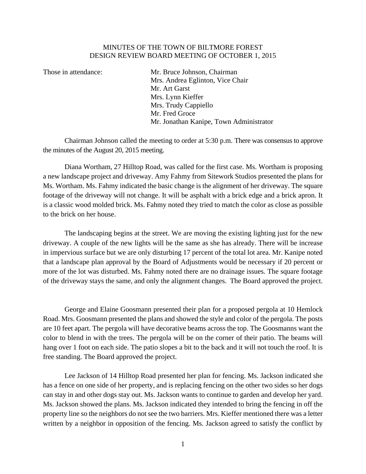## MINUTES OF THE TOWN OF BILTMORE FOREST DESIGN REVIEW BOARD MEETING OF OCTOBER 1, 2015

Those in attendance: Mr. Bruce Johnson, Chairman Mrs. Andrea Eglinton, Vice Chair Mr. Art Garst Mrs. Lynn Kieffer Mrs. Trudy Cappiello Mr. Fred Groce Mr. Jonathan Kanipe, Town Administrator

Chairman Johnson called the meeting to order at 5:30 p.m. There was consensus to approve the minutes of the August 20, 2015 meeting.

 Diana Wortham, 27 Hilltop Road, was called for the first case. Ms. Wortham is proposing a new landscape project and driveway. Amy Fahmy from Sitework Studios presented the plans for Ms. Wortham. Ms. Fahmy indicated the basic change is the alignment of her driveway. The square footage of the driveway will not change. It will be asphalt with a brick edge and a brick apron. It is a classic wood molded brick. Ms. Fahmy noted they tried to match the color as close as possible to the brick on her house.

 The landscaping begins at the street. We are moving the existing lighting just for the new driveway. A couple of the new lights will be the same as she has already. There will be increase in impervious surface but we are only disturbing 17 percent of the total lot area. Mr. Kanipe noted that a landscape plan approval by the Board of Adjustments would be necessary if 20 percent or more of the lot was disturbed. Ms. Fahmy noted there are no drainage issues. The square footage of the driveway stays the same, and only the alignment changes. The Board approved the project.

 George and Elaine Goosmann presented their plan for a proposed pergola at 10 Hemlock Road. Mrs. Goosmann presented the plans and showed the style and color of the pergola. The posts are 10 feet apart. The pergola will have decorative beams across the top. The Goosmanns want the color to blend in with the trees. The pergola will be on the corner of their patio. The beams will hang over 1 foot on each side. The patio slopes a bit to the back and it will not touch the roof. It is free standing. The Board approved the project.

 Lee Jackson of 14 Hilltop Road presented her plan for fencing. Ms. Jackson indicated she has a fence on one side of her property, and is replacing fencing on the other two sides so her dogs can stay in and other dogs stay out. Ms. Jackson wants to continue to garden and develop her yard. Ms. Jackson showed the plans. Ms. Jackson indicated they intended to bring the fencing in off the property line so the neighbors do not see the two barriers. Mrs. Kieffer mentioned there was a letter written by a neighbor in opposition of the fencing. Ms. Jackson agreed to satisfy the conflict by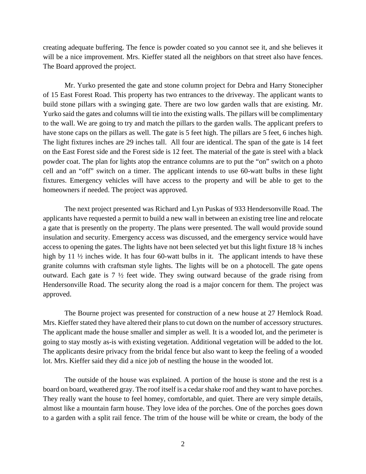creating adequate buffering. The fence is powder coated so you cannot see it, and she believes it will be a nice improvement. Mrs. Kieffer stated all the neighbors on that street also have fences. The Board approved the project.

 Mr. Yurko presented the gate and stone column project for Debra and Harry Stonecipher of 15 East Forest Road. This property has two entrances to the driveway. The applicant wants to build stone pillars with a swinging gate. There are two low garden walls that are existing. Mr. Yurko said the gates and columns will tie into the existing walls. The pillars will be complimentary to the wall. We are going to try and match the pillars to the garden walls. The applicant prefers to have stone caps on the pillars as well. The gate is 5 feet high. The pillars are 5 feet, 6 inches high. The light fixtures inches are 29 inches tall. All four are identical. The span of the gate is 14 feet on the East Forest side and the Forest side is 12 feet. The material of the gate is steel with a black powder coat. The plan for lights atop the entrance columns are to put the "on" switch on a photo cell and an "off" switch on a timer. The applicant intends to use 60-watt bulbs in these light fixtures. Emergency vehicles will have access to the property and will be able to get to the homeowners if needed. The project was approved.

 The next project presented was Richard and Lyn Puskas of 933 Hendersonville Road. The applicants have requested a permit to build a new wall in between an existing tree line and relocate a gate that is presently on the property. The plans were presented. The wall would provide sound insulation and security. Emergency access was discussed, and the emergency service would have access to opening the gates. The lights have not been selected yet but this light fixture 18 ¾ inches high by 11  $\frac{1}{2}$  inches wide. It has four 60-watt bulbs in it. The applicant intends to have these granite columns with craftsman style lights. The lights will be on a photocell. The gate opens outward. Each gate is  $7 \frac{1}{2}$  feet wide. They swing outward because of the grade rising from Hendersonville Road. The security along the road is a major concern for them. The project was approved.

 The Bourne project was presented for construction of a new house at 27 Hemlock Road. Mrs. Kieffer stated they have altered their plans to cut down on the number of accessory structures. The applicant made the house smaller and simpler as well. It is a wooded lot, and the perimeter is going to stay mostly as-is with existing vegetation. Additional vegetation will be added to the lot. The applicants desire privacy from the bridal fence but also want to keep the feeling of a wooded lot. Mrs. Kieffer said they did a nice job of nestling the house in the wooded lot.

 The outside of the house was explained. A portion of the house is stone and the rest is a board on board, weathered gray. The roof itself is a cedar shake roof and they want to have porches. They really want the house to feel homey, comfortable, and quiet. There are very simple details, almost like a mountain farm house. They love idea of the porches. One of the porches goes down to a garden with a split rail fence. The trim of the house will be white or cream, the body of the